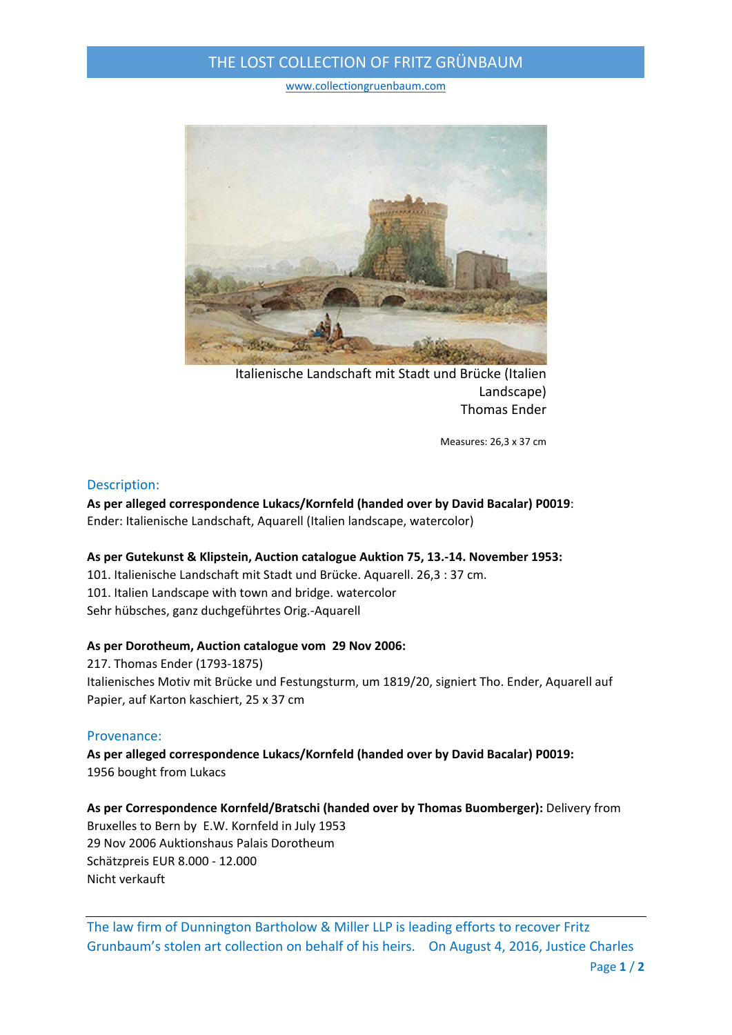# THE LOST COLLECTION OF FRITZ GRÜNBAUM

www.collectiongruenbaum.com



Italienische Landschaft mit Stadt und Brücke (Italien Landscape) Thomas Ender

Measures: 26,3 x 37 cm

### Description:

**As per alleged correspondence Lukacs/Kornfeld (handed over by David Bacalar) P0019**: Ender: Italienische Landschaft, Aquarell (Italien landscape, watercolor)

### **As per Gutekunst & Klipstein, Auction catalogue Auktion 75, 13.‐14. November 1953:**

101. Italienische Landschaft mit Stadt und Brücke. Aquarell. 26,3 : 37 cm. 101. Italien Landscape with town and bridge. watercolor Sehr hübsches, ganz duchgeführtes Orig.‐Aquarell

### **As per Dorotheum, Auction catalogue vom 29 Nov 2006:**

217. Thomas Ender (1793‐1875) Italienisches Motiv mit Brücke und Festungsturm, um 1819/20, signiert Tho. Ender, Aquarell auf Papier, auf Karton kaschiert, 25 x 37 cm

### Provenance:

**As per alleged correspondence Lukacs/Kornfeld (handed over by David Bacalar) P0019:** 1956 bought from Lukacs

**As per Correspondence Kornfeld/Bratschi (handed over by Thomas Buomberger):** Delivery from Bruxelles to Bern by E.W. Kornfeld in July 1953 29 Nov 2006 Auktionshaus Palais Dorotheum Schätzpreis EUR 8.000 ‐ 12.000 Nicht verkauft